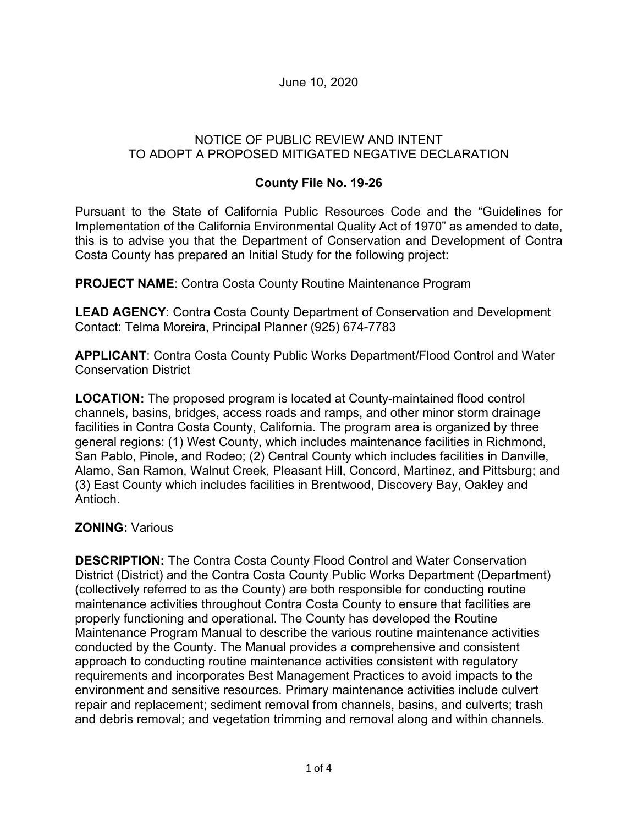June 10, 2020

## NOTICE OF PUBLIC REVIEW AND INTENT TO ADOPT A PROPOSED MITIGATED NEGATIVE DECLARATION

## **County File No. 19-26**

Pursuant to the State of California Public Resources Code and the "Guidelines for Implementation of the California Environmental Quality Act of 1970" as amended to date, this is to advise you that the Department of Conservation and Development of Contra Costa County has prepared an Initial Study for the following project:

**PROJECT NAME**: Contra Costa County Routine Maintenance Program

**LEAD AGENCY**: Contra Costa County Department of Conservation and Development Contact: Telma Moreira, Principal Planner (925) 674-7783

**APPLICANT**: Contra Costa County Public Works Department/Flood Control and Water Conservation District

**LOCATION:** The proposed program is located at County-maintained flood control channels, basins, bridges, access roads and ramps, and other minor storm drainage facilities in Contra Costa County, California. The program area is organized by three general regions: (1) West County, which includes maintenance facilities in Richmond, San Pablo, Pinole, and Rodeo; (2) Central County which includes facilities in Danville, Alamo, San Ramon, Walnut Creek, Pleasant Hill, Concord, Martinez, and Pittsburg; and (3) East County which includes facilities in Brentwood, Discovery Bay, Oakley and Antioch.

## **ZONING:** Various

**DESCRIPTION:** The Contra Costa County Flood Control and Water Conservation District (District) and the Contra Costa County Public Works Department (Department) (collectively referred to as the County) are both responsible for conducting routine maintenance activities throughout Contra Costa County to ensure that facilities are properly functioning and operational. The County has developed the Routine Maintenance Program Manual to describe the various routine maintenance activities conducted by the County. The Manual provides a comprehensive and consistent approach to conducting routine maintenance activities consistent with regulatory requirements and incorporates Best Management Practices to avoid impacts to the environment and sensitive resources. Primary maintenance activities include culvert repair and replacement; sediment removal from channels, basins, and culverts; trash and debris removal; and vegetation trimming and removal along and within channels.